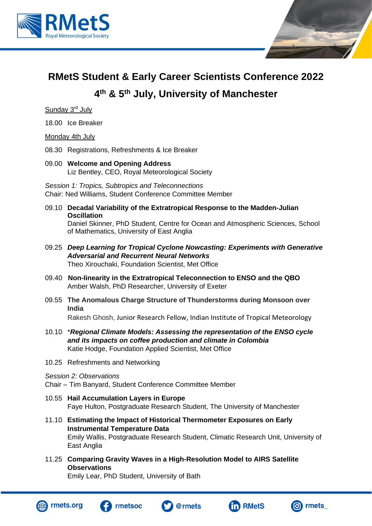



# **RMetS Student & Early Career Scientists Conference 2022**

## **4 th & 5th July, University of Manchester**

Sunday 3<sup>rd</sup> July

18.00 Ice Breaker

Monday 4th July

- 08.30 Registrations, Refreshments & Ice Breaker
- 09.00 **Welcome and Opening Address** Liz Bentley, CEO, Royal Meteorological Society

*Session 1: Tropics, Subtropics and Teleconnections* Chair: Ned Williams, Student Conference Committee Member

- 09.10 **Decadal Variability of the Extratropical Response to the Madden-Julian Oscillation** Daniel Skinner, PhD Student, Centre for Ocean and Atmospheric Sciences, School of Mathematics, University of East Anglia
- 09.25 *Deep Learning for Tropical Cyclone Nowcasting: Experiments with Generative Adversarial and Recurrent Neural Networks* Theo Xirouchaki, Foundation Scientist, Met Office
- 09.40 **Non-linearity in the Extratropical Teleconnection to ENSO and the QBO** Amber Walsh, PhD Researcher, University of Exeter
- 09.55 **The Anomalous Charge Structure of Thunderstorms during Monsoon over India**

Rakesh Ghosh, Junior Research Fellow, Indian Institute of Tropical Meteorology

- 10.10 \**Regional Climate Models: Assessing the representation of the ENSO cycle and its impacts on coffee production and climate in Colombia* Katie Hodge, Foundation Applied Scientist, Met Office
- 10.25 Refreshments and Networking

#### *Session 2: Observations*

Chair – Tim Banyard, Student Conference Committee Member

- 10.55 **Hail Accumulation Layers in Europe** Faye Hulton, Postgraduate Research Student, The University of Manchester
- 11.10 **Estimating the Impact of Historical Thermometer Exposures on Early Instrumental Temperature Data** Emily Wallis, Postgraduate Research Student, Climatic Research Unit, University of East Anglia
- 11.25 **Comparing Gravity Waves in a High-Resolution Model to AIRS Satellite Observations**

Emily Lear, PhD Student, University of Bath









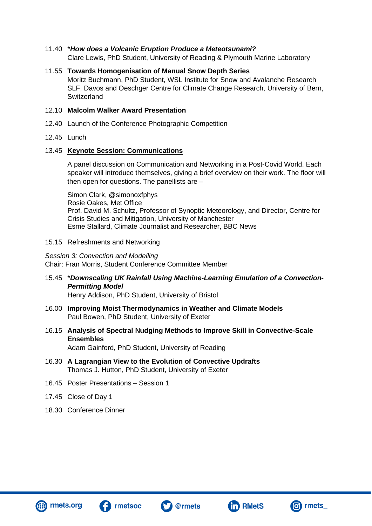## 11.40 \**How does a Volcanic Eruption Produce a Meteotsunami?*

Clare Lewis, PhD Student, University of Reading & Plymouth Marine Laboratory

### 11.55 **Towards Homogenisation of Manual Snow Depth Series** Moritz Buchmann, PhD Student, WSL Institute for Snow and Avalanche Research SLF, Davos and Oeschger Centre for Climate Change Research, University of Bern, **Switzerland**

## 12.10 **Malcolm Walker Award Presentation**

- 12.40 Launch of the Conference Photographic Competition
- 12.45 Lunch

## 13.45 **Keynote Session: Communications**

A panel discussion on Communication and Networking in a Post-Covid World. Each speaker will introduce themselves, giving a brief overview on their work. The floor will then open for questions. The panellists are –

Simon Clark, @simonoxfphys Rosie Oakes, Met Office Prof. David M. Schultz, Professor of Synoptic Meteorology, and Director, Centre for Crisis Studies and Mitigation, University of Manchester Esme Stallard, Climate Journalist and Researcher, BBC News

## 15.15 Refreshments and Networking

*Session 3: Convection and Modelling* Chair: Fran Morris, Student Conference Committee Member

## 15.45 \**Downscaling UK Rainfall Using Machine-Learning Emulation of a Convection-Permitting Model*

Henry Addison, PhD Student, University of Bristol

- 16.00 **Improving Moist Thermodynamics in Weather and Climate Models** Paul Bowen, PhD Student, University of Exeter
- 16.15 **Analysis of Spectral Nudging Methods to Improve Skill in Convective-Scale Ensembles** Adam Gainford, PhD Student, University of Reading
- 16.30 **A Lagrangian View to the Evolution of Convective Updrafts** Thomas J. Hutton, PhD Student, University of Exeter
- 16.45 Poster Presentations Session 1
- 17.45 Close of Day 1
- 18.30 Conference Dinner







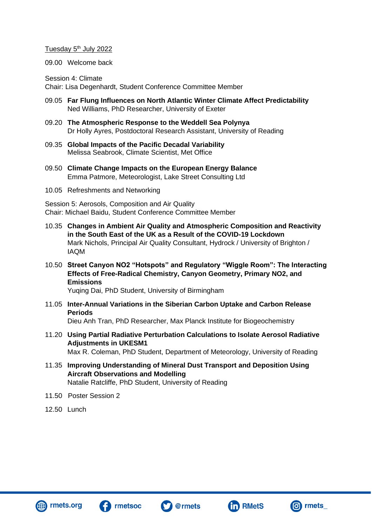### Tuesday 5<sup>th</sup> July 2022

09.00 Welcome back

Session 4: Climate Chair: Lisa Degenhardt, Student Conference Committee Member

- 09.05 **Far Flung Influences on North Atlantic Winter Climate Affect Predictability** Ned Williams, PhD Researcher, University of Exeter
- 09.20 **The Atmospheric Response to the Weddell Sea Polynya** Dr Holly Ayres, Postdoctoral Research Assistant, University of Reading
- 09.35 **Global Impacts of the Pacific Decadal Variability** Melissa Seabrook, Climate Scientist, Met Office
- 09.50 **Climate Change Impacts on the European Energy Balance** Emma Patmore, Meteorologist, Lake Street Consulting Ltd
- 10.05 Refreshments and Networking

Session 5: Aerosols, Composition and Air Quality Chair: Michael Baidu, Student Conference Committee Member

- 10.35 **Changes in Ambient Air Quality and Atmospheric Composition and Reactivity in the South East of the UK as a Result of the COVID-19 Lockdown** Mark Nichols, Principal Air Quality Consultant, Hydrock / University of Brighton / IAQM
- 10.50 **Street Canyon NO2 "Hotspots" and Regulatory "Wiggle Room": The Interacting Effects of Free-Radical Chemistry, Canyon Geometry, Primary NO2, and Emissions**

Yuqing Dai, PhD Student, University of Birmingham

- 11.05 **Inter-Annual Variations in the Siberian Carbon Uptake and Carbon Release Periods** Dieu Anh Tran, PhD Researcher, Max Planck Institute for Biogeochemistry
- 11.20 **Using Partial Radiative Perturbation Calculations to Isolate Aerosol Radiative Adjustments in UKESM1** Max R. Coleman, PhD Student, Department of Meteorology, University of Reading
- 11.35 **Improving Understanding of Mineral Dust Transport and Deposition Using Aircraft Observations and Modelling** Natalie Ratcliffe, PhD Student, University of Reading
- 11.50 Poster Session 2
- 12.50 Lunch